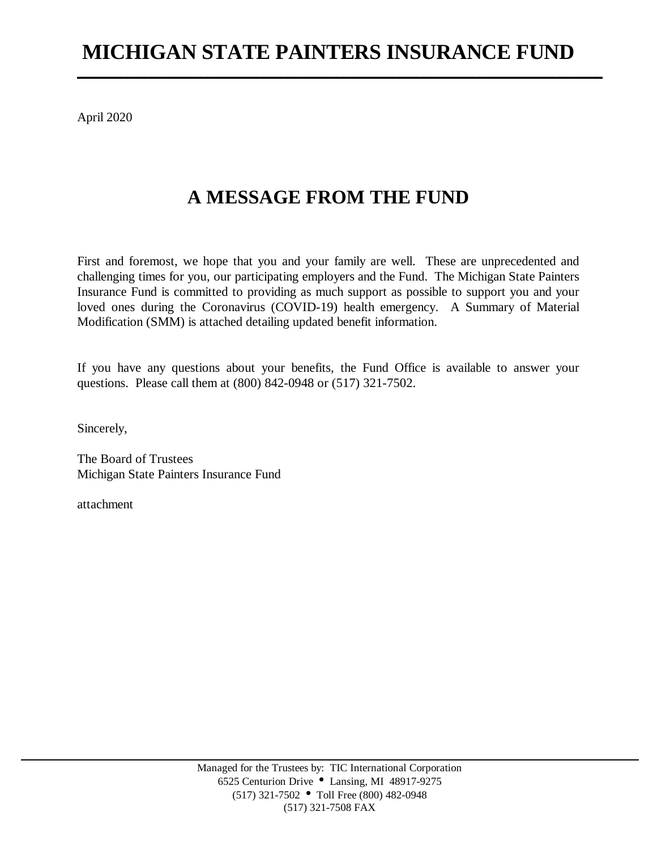# **MICHIGAN STATE PAINTERS INSURANCE FUND**

**\_\_\_\_\_\_\_\_\_\_\_\_\_\_\_\_\_\_\_\_\_\_\_\_\_\_\_\_\_\_\_\_\_\_\_\_\_\_\_\_\_\_\_\_\_\_\_\_\_\_\_\_\_\_\_\_\_\_\_\_\_\_\_\_\_\_\_\_\_\_\_\_\_\_\_\_\_\_\_\_\_\_\_\_\_**

April 2020

### **A MESSAGE FROM THE FUND**

First and foremost, we hope that you and your family are well. These are unprecedented and challenging times for you, our participating employers and the Fund. The Michigan State Painters Insurance Fund is committed to providing as much support as possible to support you and your loved ones during the Coronavirus (COVID-19) health emergency. A Summary of Material Modification (SMM) is attached detailing updated benefit information.

If you have any questions about your benefits, the Fund Office is available to answer your questions. Please call them at (800) 842-0948 or (517) 321-7502.

Sincerely,

The Board of Trustees Michigan State Painters Insurance Fund

attachment